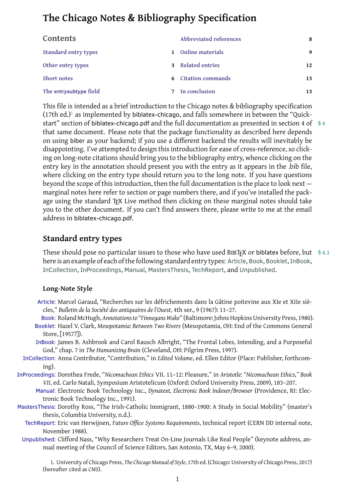# <span id="page-0-22"></span>**The Chicago Notes & Bibliography Specification**

| Contents                    |   | Abbreviated references     | 8  |
|-----------------------------|---|----------------------------|----|
| <b>Standard entry types</b> |   | Online materials           | 9  |
| Other entry types           | 3 | <b>Related entries</b>     | 12 |
| Short notes                 |   | <b>6</b> Citation commands | 13 |
| The entrysubtype field      |   | In conclusion              | 13 |

This file is intended as a brief introduction to the Chicago notes & bibliography specification ([1](#page-0-1)7th ed.) $^1$  as implemented by biblatex-chicago, and falls somewhere in between the "Quickstart" section of biblatex-chicago.pdf and the full documentation as presented in section 4 of §4 that same document. Please note that the package functionality as described here depends on using biber as your backend; if you use a different backend the results will inevitably be disappointing. I've attempted to design this introduction for ease of cross-reference, so clicking on long-note citations should bring you to the bibliography entry, whence clicking on the entry key in the annotation should present you with the entry as it appears in the .bib file, where clicking on the entry type should return you to the long note. If you have questions beyond the scope of this introduction, then the full documentation is the place to look next marginal notes here refer to section or page numbers there, and if you've installed the package using the standard TFX Live method then clicking on these marginal notes should take you to the other document. If you can't find answers there, please write to me at the email address in biblatex-chicago.pdf.

## <span id="page-0-0"></span>**Standard entry types**

<span id="page-0-21"></span><span id="page-0-20"></span><span id="page-0-19"></span><span id="page-0-18"></span><span id="page-0-17"></span><span id="page-0-16"></span><span id="page-0-15"></span><span id="page-0-14"></span><span id="page-0-13"></span><span id="page-0-12"></span>These should pose no particular issues to those who have used BIBTFX or biblatex before, but §4.1 here is an example of each of the following standard entry types: [Article](#page-0-2), [Book](#page-0-3), [Booklet](#page-0-4), [InBook](#page-0-5), [InCollection](#page-0-6), [InProceedings](#page-0-7), [Manual](#page-0-8), [MastersThesis](#page-0-9), [TechReport](#page-0-10), and [Unpublished](#page-0-11).

## **Long-Note Style**

- <span id="page-0-2"></span>[Article:](#page-0-12) [Marcel Garaud, "Recherches sur les défrichements dans la Gâtine poitevine aux XIe et XIIe siè](#page-1-0)cles," *[Bulletin de la Société des antiquaires de l'Ouest](#page-1-0)*, 4th ser., 9 (1967): 11–27.
- <span id="page-0-4"></span><span id="page-0-3"></span>[Book:](#page-0-13) Roland McHugh, *Annotations to "Finnegans Wake*[" \(Baltimore: Johns Hopkins University Press, 1980\).](#page-1-1) [Booklet:](#page-0-14) Hazel V. Clark, *Mesopotamia: Between Two Rivers* [\(Mesopotamia, OH: End of the Commons General](#page-1-2) [Store, \[1957?\]\).](#page-1-2)
- <span id="page-0-5"></span>[InBook:](#page-0-15) [James B. Ashbrook and Carol Rausch Albright, "The Frontal Lobes, Intending, and a Purposeful](#page-1-3) God," chap. 7 in *The Humanizing Brain* [\(Cleveland, OH: Pilgrim Press, 1997\).](#page-1-3)
- <span id="page-0-6"></span>[InCollection:](#page-0-16) Anna Contributor, "Contribution," in *Edited Volume*[, ed. Ellen Editor \(Place: Publisher, forthcom](#page-1-4)[ing\).](#page-1-4)
- <span id="page-0-8"></span><span id="page-0-7"></span>[InProceedings:](#page-0-17) Dorothea Frede, "*Nicomachean Ethics* VII. 11–12: Pleasure," in *[Aristotle: "Nicomachean Ethics," Book](#page-1-5) VII*[, ed. Carlo Natali, Symposium Aristotelicum \(Oxford: Oxford University Press, 2009\), 183–207.](#page-1-5)
	- [Manual:](#page-0-18) Electronic Book Technology Inc., *[Dynatext, Electronic Book Indexer/Browser](#page-1-6)* (Providence, RI: Elec[tronic Book Technology Inc., 1991\).](#page-1-6)
- <span id="page-0-11"></span><span id="page-0-10"></span><span id="page-0-9"></span>[MastersThesis:](#page-0-19) [Dorothy Ross, "The Irish-Catholic Immigrant, 1880–1900: A Study in Social Mobility" \(master's](#page-1-7) [thesis, Columbia University, n.d.\).](#page-1-7)
	- [TechReport:](#page-0-20) Eric van Herwijnen, *Future Office Systems Requirements*[, technical report \(CERN DD internal note,](#page-2-1) [November 1988\).](#page-2-1)
	- [Unpublished:](#page-0-21) [Clifford Nass, "Why Researchers Treat On-Line Journals Like Real People" \(keynote address, an](#page-1-8)[nual meeting of the Council of Science Editors, San Antonio, TX, May 6–9, 2000\).](#page-1-8)

<span id="page-0-1"></span>1. University of Chicago Press, *The Chicago Manual of Style*[, 17th ed. \(Chicago: University of Chicago Press, 2017\)](#page-12-2) [\(hereafter cited as](#page-12-2) *CMS*).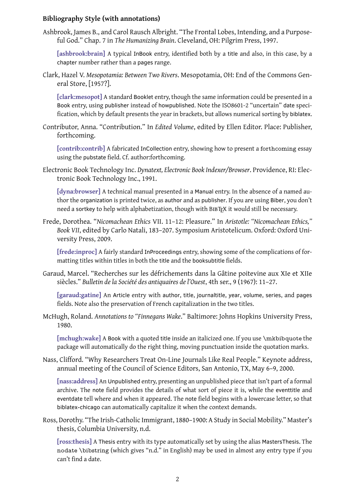#### <span id="page-1-9"></span>**Bibliography Style (with annotations)**

<span id="page-1-3"></span>Ashbrook, James B., and Carol Rausch Albright. "The Frontal Lobes, Intending, and a Purposeful God." Chap. 7 in *The Humanizing Brain*. Cleveland, OH: Pilgrim Press, 1997.

**[\[ashbrook:brain\]](#page-13-0)** A typical InBook entry, identified both by a title and also, in this case, by a chapter number rather than a pages range.

<span id="page-1-2"></span>Clark, Hazel V. *Mesopotamia: Between Two Rivers*. Mesopotamia, OH: End of the Commons General Store, [1957?].

**[\[clark:mesopot\]](#page-13-1)** A standard Booklet entry, though the same information could be presented in a Book entry, using publisher instead of howpublished. Note the ISO8601-2 "uncertain" date specification, which by default presents the year in brackets, but allows numerical sorting by biblatex.

<span id="page-1-4"></span>Contributor, Anna. "Contribution." In *Edited Volume*, edited by Ellen Editor. Place: Publisher, forthcoming.

**[\[contrib:contrib\]](#page-13-2)** A fabricated InCollection entry, showing how to present a forthcoming essay using the pubstate field. Cf. author:forthcoming.

<span id="page-1-6"></span>Electronic Book Technology Inc. *Dynatext, Electronic Book Indexer/Browser*. Providence, RI: Electronic Book Technology Inc., 1991.

**[\[dyna:browser\]](#page-13-3)** A technical manual presented in a Manual entry. In the absence of a named author the organization is printed twice, as author and as publisher. If you are using Biber, you don't need a sortkey to help with alphabetization, though with BIBTFX it would still be necessary.

<span id="page-1-5"></span>Frede, Dorothea. "*Nicomachean Ethics* VII. 11–12: Pleasure." In *Aristotle: "Nicomachean Ethics," Book VII*, edited by Carlo Natali, 183–207. Symposium Aristotelicum. Oxford: Oxford University Press, 2009.

**[\[frede:inproc\]](#page-14-0)** A fairly standard InProceedings entry, showing some of the complications of formatting titles within titles in both the title and the booksubtitle fields.

<span id="page-1-0"></span>Garaud, Marcel. "Recherches sur les défrichements dans la Gâtine poitevine aux XIe et XIIe siècles." *Bulletin de la Société des antiquaires de l'Ouest*, 4th ser., 9 (1967): 11–27.

**[\[garaud:gatine\]](#page-14-1)** An Article entry with author, title, journaltitle, year, volume, series, and pages fields. Note also the preservation of French capitalization in the two titles.

<span id="page-1-1"></span>McHugh, Roland. *Annotations to "Finnegans Wake*." Baltimore: Johns Hopkins University Press, 1980.

**[\[mchugh:wake\]](#page-15-0)** A Book with a quoted title inside an italicized one. If you use \mkbibquote the package will automatically do the right thing, moving punctuation inside the quotation marks.

<span id="page-1-8"></span>Nass, Clifford. "Why Researchers Treat On-Line Journals Like Real People." Keynote address, annual meeting of the Council of Science Editors, San Antonio, TX, May 6–9, 2000.

**[\[nass:address\]](#page-15-1)** An Unpublished entry, presenting an unpublished piece that isn't part of a formal archive. The note field provides the details of what sort of piece it is, while the eventtitle and eventdate tell where and when it appeared. The note field begins with a lowercase letter, so that biblatex-chicago can automatically capitalize it when the context demands.

<span id="page-1-7"></span>Ross, Dorothy. "The Irish-Catholic Immigrant, 1880–1900: A Study in Social Mobility." Master's thesis, Columbia University, n.d.

**[\[ross:thesis\]](#page-16-0)** A Thesis entry with its type automatically set by using the alias MastersThesis. The nodate \bibstring (which gives "n.d." in English) may be used in almost any entry type if you can't find a date.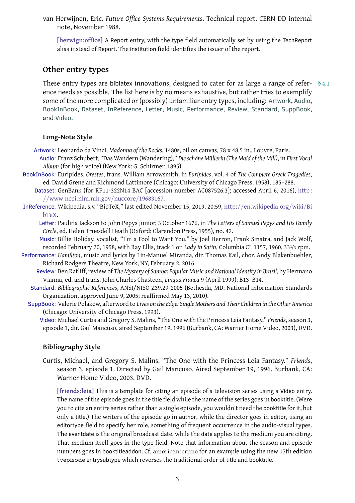<span id="page-2-1"></span>van Herwijnen, Eric. *Future Office Systems Requirements*. Technical report. CERN DD internal note, November 1988.

<span id="page-2-24"></span><span id="page-2-23"></span><span id="page-2-22"></span><span id="page-2-15"></span><span id="page-2-14"></span>**[\[herwign:office\]](#page-15-2)** A Report entry, with the type field automatically set by using the TechReport alias instead of Report. The institution field identifies the issuer of the report.

## <span id="page-2-0"></span>**Other entry types**

<span id="page-2-21"></span><span id="page-2-20"></span><span id="page-2-19"></span><span id="page-2-18"></span><span id="page-2-17"></span><span id="page-2-16"></span>These entry types are biblatex innovations, designed to cater for as large a range of refer- \$4.1 ence needs as possible. The list here is by no means exhaustive, but rather tries to exemplify some of the more complicated or (possibly) unfamiliar entry types, including: [Artwork](#page-2-2), [Audio](#page-2-3), [BookInBook](#page-2-4), [Dataset](#page-2-5), [InReference](#page-2-6), [Letter](#page-2-7), [Music](#page-2-8), [Performance](#page-2-9), [Review](#page-2-10), [Standard](#page-2-11), [SuppBook](#page-2-12), and [Video](#page-2-13).

#### <span id="page-2-28"></span><span id="page-2-25"></span>**Long-Note Style**

<span id="page-2-2"></span>[Artwork:](#page-2-14) Leonardo da Vinci, *Madonna of the Rocks*[, 1480s, oil on canvas, 78 x 48.5 in., Louvre, Paris.](#page-4-0)

- <span id="page-2-3"></span>[Audio:](#page-2-15) [Franz Schubert, "Das Wandern \(Wandering\),"](#page-4-1) *Die schöne Müllerin (The Maid of the Mill)*, in *First Vocal Album* [\(for high voice\) \(New York: G. Schirmer, 1895\).](#page-4-1)
- <span id="page-2-5"></span><span id="page-2-4"></span>[BookInBook:](#page-2-16) Euripides, *Orestes*[, trans. William Arrowsmith, in](#page-3-0) *Euripides*, vol. 4 of *The Complete Greek Tragedies*, [ed. David Grene and Richmond Lattimore \(Chicago: University of Chicago Press, 1958\), 185–288.](#page-3-0)
	- [Dataset:](#page-2-17) [GenBank \(for RP11-322N14 BAC \[accession number AC087526.3\]; accessed April 6, 2016\),](#page-3-1) [http :](http://www.ncbi.nlm.nih.gov/nuccore/19683167) //www.ncbi.nlm.nih.gov/nuccore/[19683167.](#page-3-1)
- <span id="page-2-6"></span>[InReference:](#page-2-18) [Wikipedia, s.v. "BibTeX," last edited November 15, 2019, 20:59,](#page-5-1) http://en.[wikipedia](http://en.wikipedia.org/wiki/BibTeX).org/wiki/Bi [bTeX.](#page-5-1)

<span id="page-2-7"></span>[Letter:](#page-2-19) [Paulina Jackson to John Pepys Junior, 3 October 1676, in](#page-3-2) *The Letters of Samuel Pepys and His Family Circle*[, ed. Helen Truesdell Heath \(Oxford: Clarendon Press, 1955\), no. 42.](#page-3-2)

<span id="page-2-8"></span>[Music:](#page-2-20) [Billie Holiday, vocalist, "I'm a Fool to Want You," by Joel Herron, Frank Sinatra, and Jack Wolf,](#page-3-3) [recorded February 20, 1958, with Ray Ellis, track 1 on](#page-3-3) *Lady in Satin*, Columbia CL 1157, 1960, 331/3 rpm.

<span id="page-2-9"></span>[Performance:](#page-2-21) *Hamilton*[, music and lyrics by Lin-Manuel Miranda, dir. Thomas Kail, chor. Andy Blakenbuehler,](#page-3-4) [Richard Rodgers Theatre, New York, NY, February 2, 2016.](#page-3-4)

<span id="page-2-10"></span>[Review:](#page-2-22) Ben Ratliff, review of *[The Mystery of Samba: Popular Music and National Identity in Brazil](#page-4-2)*, by Hermano [Vianna, ed. and trans. John Charles Chasteen,](#page-4-2) *Lingua Franca* 9 (April 1999): B13–B14.

- <span id="page-2-11"></span>[Standard:](#page-2-23) *Bibliographic References*[, ANSI/NISO Z39.29-2005 \(Bethesda, MD: National Information Standards](#page-4-3) [Organization, approved June 9, 2005; reaffirmed May 13, 2010\).](#page-4-3)
- <span id="page-2-12"></span>[SuppBook:](#page-2-24) Valerie Polakow, afterword to *[Lives on the Edge: Single Mothers and Their Children in the Other America](#page-4-4)* [\(Chicago: University of Chicago Press, 1993\).](#page-4-4)

<span id="page-2-13"></span>[Video:](#page-2-25) [Michael Curtis and Gregory S. Malins, "The One with the Princess Leia Fantasy,"](#page-2-26) *Friends*, season 3, [episode 1, dir. Gail Mancuso, aired September 19, 1996 \(Burbank, CA: Warner Home Video, 2003\), DVD.](#page-2-26)

#### <span id="page-2-27"></span>**Bibliography Style**

<span id="page-2-26"></span>Curtis, Michael, and Gregory S. Malins. "The One with the Princess Leia Fantasy." *Friends*, season 3, episode 1. Directed by Gail Mancuso. Aired September 19, 1996. Burbank, CA: Warner Home Video, 2003. DVD.

**[\[friends:leia\]](#page-14-2)** This is a template for citing an episode of a television series using a Video entry. The name of the episode goes in the title field while the name of the series goes in booktitle. (Were you to cite an entire series rather than a single episode, you wouldn't need the booktitle for it, but only a title.) The writers of the episode go in author, while the director goes in editor, using an editortype field to specify her role, something of frequent occurrence in the audio-visual types. The eventdate is the original broadcast date, while the date applies to the medium you are citing. That medium itself goes in the type field. Note that information about the season and episode numbers goes in booktitleaddon. Cf. american:crime for an example using the new 17th edition tvepisode entrysubtype which reverses the traditional order of title and booktitle.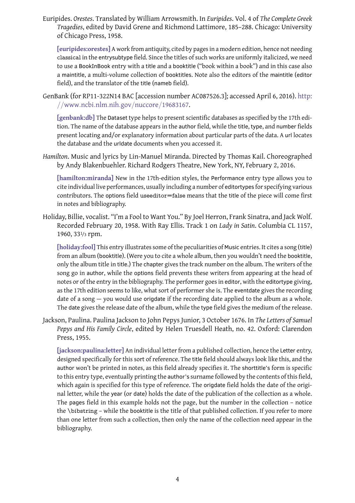<span id="page-3-0"></span>Euripides. *Orestes*. Translated by William Arrowsmith. In *Euripides*. Vol. 4 of *The Complete Greek Tragedies*, edited by David Grene and Richmond Lattimore, 185–288. Chicago: University of Chicago Press, 1958.

**[\[euripides:orestes\]](#page-14-3)** A work from antiquity, cited by pages in a modern edition, hence not needing classical in the entrysubtype field. Since the titles of such works are uniformly italicized, we need to use a BookInBook entry with a title and a booktitle ("book within a book") and in this case also a maintitle, a multi-volume collection of booktitles. Note also the editors of the maintitle (editor field), and the translator of the title (nameb field).

<span id="page-3-1"></span>GenBank (for RP11-322N14 BAC [accession number AC087526.3]; accessed April 6, 2016). [http:](http://www.ncbi.nlm.nih.gov/nuccore/19683167) //www.ncbi.nlm.nih.gov/nuccore/[19683167.](http://www.ncbi.nlm.nih.gov/nuccore/19683167)

**[\[genbank:db\]](#page-14-4)** The Dataset type helps to present scientific databases as specified by the 17th edition. The name of the database appears in the author field, while the title, type, and number fields present locating and/or explanatory information about particular parts of the data. A url locates the database and the urldate documents when you accessed it.

<span id="page-3-4"></span>*Hamilton*. Music and lyrics by Lin-Manuel Miranda. Directed by Thomas Kail. Choreographed by Andy Blakenbuehler. Richard Rodgers Theatre, New York, NY, February 2, 2016.

**[\[hamilton:miranda\]](#page-14-5)** New in the 17th-edition styles, the Performance entry type allows you to cite individual live performances, usually including a number of editortypes for specifying various contributors. The options field useeditor=false means that the title of the piece will come first in notes and bibliography.

<span id="page-3-3"></span>Holiday, Billie, vocalist. "I'm a Fool to Want You." By Joel Herron, Frank Sinatra, and Jack Wolf. Recorded February 20, 1958. With Ray Ellis. Track 1 on *Lady in Satin*. Columbia CL 1157, 1960, 331/3 rpm.

**[\[holiday:fool\]](#page-15-3)** This entry illustrates some of the peculiarities of Music entries. It cites a song (title) from an album (booktitle). (Were you to cite a whole album, then you wouldn't need the booktitle, only the album title in title.) The chapter gives the track number on the album. The writers of the song go in author, while the options field prevents these writers from appearing at the head of notes or of the entry in the bibliography. The performer goes in editor, with the editortype giving, as the 17th edition seems to like, what sort of performer she is. The eventdate gives the recording date of a song — you would use origdate if the recording date applied to the album as a whole. The date gives the release date of the album, while the type field gives the medium of the release.

<span id="page-3-2"></span>Jackson, Paulina. Paulina Jackson to John Pepys Junior, 3 October 1676. In *The Letters of Samuel Pepys and His Family Circle*, edited by Helen Truesdell Heath, no. 42. Oxford: Clarendon Press, 1955.

**[\[jackson:paulina:letter\]](#page-15-4)** An individual letter from a published collection, hence the Letter entry, designed specifically for this sort of reference. The title field should always look like this, and the author won't be printed in notes, as this field already specifies it. The shorttitle's form is specific to this entry type, eventually printing the author's surname followed by the contents of this field, which again is specified for this type of reference. The origdate field holds the date of the original letter, while the year (or date) holds the date of the publication of the collection as a whole. The pages field in this example holds not the page, but the number in the collection – notice the \bibstring – while the booktitle is the title of that published collection. If you refer to more than one letter from such a collection, then only the name of the collection need appear in the bibliography.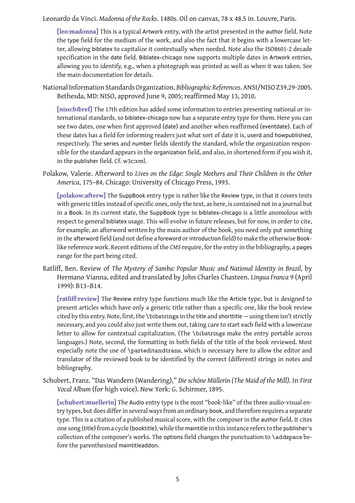<span id="page-4-0"></span>Leonardo da Vinci. *Madonna of the Rocks*. 1480s. Oil on canvas, 78 x 48.5 in. Louvre, Paris.

**[\[leo:madonna\]](#page-15-5)** This is a typical Artwork entry, with the artist presented in the author field. Note the type field for the medium of the work, and also the fact that it begins with a lowercase letter, allowing biblatex to capitalize it contextually when needed. Note also the ISO8601-2 decade specification in the date field. Biblatex-chicago now supports multiple dates in Artwork entries, allowing you to identify, e.g., when a photograph was printed as well as when it was taken. See the main documentation for details.

<span id="page-4-3"></span>NationalInformation Standards Organization. *Bibliographic References*. ANSI/NISO Z39.29-2005. Bethesda, MD: NISO, approved June 9, 2005; reaffirmed May 13, 2010.

**[\[niso:bibref\]](#page-15-6)** The 17th edition has added some information to entries presenting national or international standards, so biblatex-chicago now has a separate entry type for them. Here you can see two dates, one when first approved (date) and another when reaffirmed (eventdate). Each of these dates has a field for informing readers just what sort of date it is, userd and howpublished, respectively. The series and number fields identify the standard, while the organization responsible for the standard appears in the organization field, and also, in shortened form if you wish it, in the publisher field. Cf. w3c:xml.

<span id="page-4-4"></span>Polakow, Valerie. Afterword to *Lives on the Edge: Single Mothers and Their Children in the Other America*, 175–84. Chicago: University of Chicago Press, 1993.

**[\[polakow:afterw\]](#page-16-1)** The SuppBook entry type is rather like the Review type, in that it covers texts with generic titles instead of specific ones, only the text, as here, is contained not in a journal but in a Book. In its current state, the SuppBook type in biblatex-chicago is a little anomolous with respect to general biblatex usage. This will evolve in future releases, but for now, in order to cite, for example, an afterword written by the main author of the book, you need only put something in the afterword field (and not define a foreword or introduction field) to make the otherwise Booklike reference work. Recent editions of the *CMS* require, for the entry in the bibliography, a pages range for the part being cited.

<span id="page-4-2"></span>Ratliff, Ben. Review of *The Mystery of Samba: Popular Music and National Identity in Brazil*, by Hermano Vianna, edited and translated by John Charles Chasteen. *Lingua Franca* 9 (April 1999): B13–B14.

**[\[ratliff:review\]](#page-16-2)** The Review entry type functions much like the Article type, but is designed to present articles which have only a generic title rather than a specific one, like the book review cited by this entry. Note, first, the \bibstrings in the title and shorttitle — using them isn't strictly necessary, and you could also just write them out, taking care to start each field with a lowercase letter to allow for contextual capitalization. (The \bibstrings make the entry portable across languages.) Note, second, the formatting in both fields of the title of the book reviewed. Most especially note the use of \parteditandtrans, which is necessary here to allow the editor and translator of the reviewed book to be identified by the correct (different) strings in notes and bibliography.

<span id="page-4-1"></span>Schubert, Franz. "Das Wandern (Wandering)," *Die schöne Müllerin (The Maid of the Mill)*. In *First Vocal Album* (for high voice). New York: G. Schirmer, 1895.

**[\[schubert:muellerin\]](#page-17-0)** The Audio entry type is the most "book-like" of the three audio-visual entry types, but does differ in several ways from an ordinary book, and therefore requires a separate type. This is a citation of a published musical score, with the composer in the author field. It cites one song (title) from a cycle (booktitle), while the maintitle in this instance refers to the publisher's collection of the composer's works. The options field changes the punctuation to \addspace before the parenthesized maintitleaddon.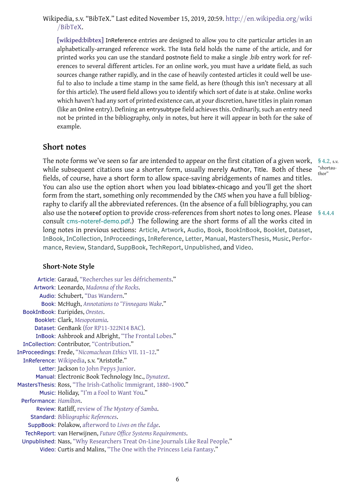<span id="page-5-1"></span>Wikipedia, s.v. "BibTeX." Last edited November 15, 2019, 20:59. http://en.[wikipedia](http://en.wikipedia.org/wiki/BibTeX).org/wiki /[BibTeX.](http://en.wikipedia.org/wiki/BibTeX)

**[\[wikiped:bibtex\]](#page-17-1)** InReference entries are designed to allow you to cite particular articles in an alphabetically-arranged reference work. The lista field holds the name of the article, and for printed works you can use the standard postnote field to make a single .bib entry work for references to several different articles. For an online work, you must have a urldate field, as such sources change rather rapidly, and in the case of heavily contested articles it could well be useful to also to include a time stamp in the same field, as here (though this isn't necessary at all for this article). The userd field allows you to identify which sort of date is at stake. Online works which haven't had any sort of printed existence can, at your discretion, have titles in plain roman (like an Online entry). Defining an entrysubtype field achieves this. Ordinarily, such an entry need not be printed in the bibliography, only in notes, but here it will appear in both for the sake of example.

## <span id="page-5-0"></span>**Short notes**

The note forms we've seen so far are intended to appear on the first citation of a given work, §4.2, s.v. while subsequent citations use a shorter form, usually merely Author, Title. Both of these fields, of course, have a short form to allow space-saving abridgements of names and titles. You can also use the option short when you load biblatex-chicago and you'll get the short form from the start, something only recommended by the *CMS* when you have a full bibliography to clarify all the abbreviated references. (In the absence of a full bibliography, you can also use the noteref option to provide cross-references from short notes to long ones. Please § 4.4.4 consult [cms-noteref-demo.pdf](#page-0-22).) The following are the short forms of all the works cited in long notes in previous sections: [Article](#page-5-2), [Artwork](#page-5-3), [Audio](#page-5-4), [Book](#page-5-5), [BookInBook](#page-5-6), [Booklet](#page-5-7), [Dataset](#page-5-8), [InBook](#page-5-9), [InCollection](#page-5-10), [InProceedings](#page-5-11), [InReference](#page-5-12), [Letter](#page-5-13), [Manual](#page-5-14), [MastersThesis](#page-5-15), [Music](#page-5-16), [Perfor](#page-5-17)[mance](#page-5-17), [Review](#page-5-18), [Standard](#page-5-19), [SuppBook](#page-5-20), [TechReport](#page-5-21), [Unpublished](#page-5-22), and [Video](#page-5-23).

#### <span id="page-5-43"></span><span id="page-5-42"></span><span id="page-5-41"></span><span id="page-5-40"></span><span id="page-5-34"></span><span id="page-5-33"></span><span id="page-5-32"></span><span id="page-5-31"></span><span id="page-5-25"></span><span id="page-5-24"></span><span id="page-5-2"></span>**Short-Note Style**

```
Article: Garaud, "Recherches sur les défrichements."
      Artwork: Leonardo, Madonna of the Rocks.
        Audio: Schubert, "Das Wandern."
         Book: McHugh, Annotations to "Finnegans Wake."
  BookInBook: Euripides, Orestes.
      Booklet: Clark, Mesopotamia.
      Dataset: GenBank (for RP11-322N14 BAC).
       InBook: Ashbrook and Albright, "The Frontal Lobes."
  InCollection: Contributor, "Contribution."
InProceedings: Frede, "Nicomachean Ethics VII. 11–12."
  InReference: Wikipedia, s.v. "Aristotle."
        Letter: Jackson to John Pepys Junior.
       Manual: Electronic Book Technology Inc., Dynatext.
MastersThesis: Ross, "The Irish-Catholic Immigrant, 1880–1900."
        Music: Holiday, "I'm a Fool to Want You."
 Performance: Hamilton.
       Review: Ratliff, review of The Mystery of Samba.
     Standard: Bibliographic References.
    SuppBook: Polakow, afterword to Lives on the Edge.
   TechReport: van Herwijnen, Future Office Systems Requirements.
  Unpublished: Nass, "Why Researchers Treat On-Line Journals Like Real People."
        Video: Curtis and Malins, "The One with the Princess Leia Fantasy."
```
"shortau-

<span id="page-5-45"></span><span id="page-5-44"></span><span id="page-5-39"></span><span id="page-5-38"></span><span id="page-5-37"></span><span id="page-5-36"></span><span id="page-5-35"></span><span id="page-5-30"></span><span id="page-5-29"></span><span id="page-5-28"></span><span id="page-5-27"></span><span id="page-5-26"></span>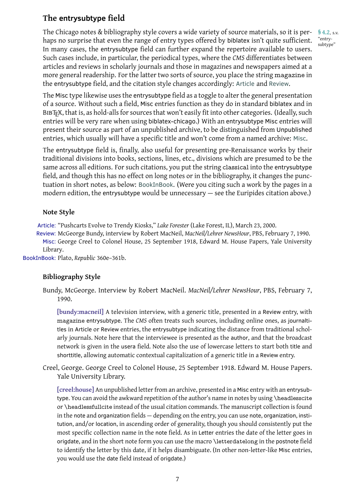## <span id="page-6-0"></span>**The entrysubtype field**

The Chicago notes & bibliography style covers a wide variety of source materials, so it is per- [§ 4.2](#page-2-27), s.v. haps no surprise that even the range of entry types offered by biblatex isn't quite sufficient. In many cases, the entrysubtype field can further expand the repertoire available to users. Such cases include, in particular, the periodical types, where the *CMS* differentiates between articles and reviews in scholarly journals and those in magazines and newspapers aimed at a more general readership. For the latter two sorts of source, you place the string magazine in the entrysubtype field, and the citation style changes accordingly: [Article](#page-6-1) and [Review](#page-6-2).

<span id="page-6-8"></span><span id="page-6-6"></span><span id="page-6-5"></span>"entry-<br>subtype"

The Misc type likewise uses the entrysubtype field as a toggle to alter the general presentation of a source. Without such a field, Misc entries function as they do in standard biblatex and in BibTEX, that is, as hold-alls for sources that won't easily fit into other categories. (Ideally, such entries will be very rare when using biblatex-chicago.) With an entrysubtype Misc entries will present their source as part of an unpublished archive, to be distinguished from Unpublished entries, which usually will have a specific title and won't come from a named archive: [Misc](#page-6-3).

The entrysubtype field is, finally, also useful for presenting pre-Renaissance works by their traditional divisions into books, sections, lines, etc., divisions which are presumed to be the same across all editions. For such citations, you put the string classical into the entrysubtype field, and though this has no effect on long notes or in the bibliography, it changes the punctuation in short notes, as below: [BookInBook](#page-6-4). (Were you citing such a work by the pages in a modern edition, the entrysubtype would be unnecessary — see the Euripides citation above.)

## <span id="page-6-10"></span>**Note Style**

<span id="page-6-1"></span>[Article:](#page-6-5) ["Pushcarts Evolve to Trendy Kiosks,"](#page-7-1) *Lake Forester* (Lake Forest, IL), March 23, 2000.

<span id="page-6-3"></span><span id="page-6-2"></span>[Review:](#page-6-6) [McGeorge Bundy, interview by Robert MacNeil,](#page-6-7) *MacNeil/Lehrer NewsHour*, PBS, February 7, 1990. [Misc:](#page-6-8) [George Creel to Colonel House, 25 September 1918, Edward M. House Papers, Yale University](#page-6-9) [Library.](#page-6-9)

<span id="page-6-4"></span>[BookInBook:](#page-6-10) Plato, *[Republic](#page-7-2)* 360e–361b.

## **Bibliography Style**

<span id="page-6-7"></span>Bundy, McGeorge. Interview by Robert MacNeil. *MacNeil/Lehrer NewsHour*, PBS, February 7, 1990.

**[\[bundy:macneil\]](#page-13-4)** A television interview, with a generic title, presented in a Review entry, with magazine entrysubtype. The *CMS* often treats such sources, including online ones, as journaltitles in Article or Review entries, the entrysubtype indicating the distance from traditional scholarly journals. Note here that the interviewee is presented as the author, and that the broadcast network is given in the usera field. Note also the use of lowercase letters to start both title and shorttitle, allowing automatic contextual capitalization of a generic title in a Review entry.

<span id="page-6-9"></span>Creel, George. George Creel to Colonel House, 25 September 1918. Edward M. House Papers. Yale University Library.

**[\[creel:house\]](#page-13-5)** An unpublished letter from an archive, presented in a Misc entry with an entrysubtype. You can avoid the awkward repetition of the author's name in notes by using \headlesscite or \headlessfullcite instead of the usual citation commands. The manuscript collection is found in the note and organization fields — depending on the entry, you can use note, organization, institution, and/or location, in ascending order of generality, though you should consistently put the most specific collection name in the note field. As in Letter entries the date of the letter goes in origdate, and in the short note form you can use the macro \letterdatelong in the postnote field to identify the letter by this date, if it helps disambiguate. (In other non-letter-like Misc entries, you would use the date field instead of origdate.)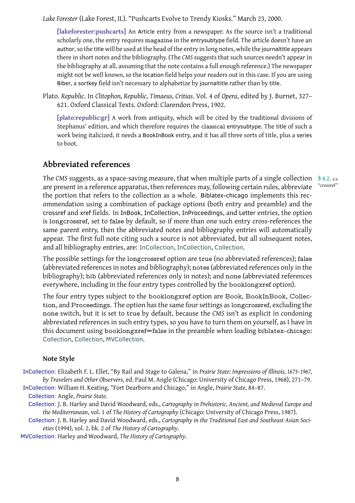<span id="page-7-1"></span>*Lake Forester* (Lake Forest, IL). "Pushcarts Evolve to Trendy Kiosks." March 23, 2000.

**[\[lakeforester:pushcarts\]](#page-15-7)** An Article entry from a newspaper. As the source isn't a traditional scholarly one, the entry requires magazine in the entrysubtype field. The article doesn't have an author, so the title will be used at the head of the entry in long notes, while the journaltitle appears there in short notes and the bibliography. (The *CMS* suggests that such sources needn't appear in the bibliography at all, assuming that the note contains a full enough reference.) The newspaper might not be well known, so the location field helps your readers out in this case. If you are using Biber, a sortkey field isn't necessary to alphabetize by journaltitle rather than by title.

<span id="page-7-2"></span>Plato. *Republic*. In *Clitophon, Republic, Timaeus, Critias*. Vol. 4 of *Opera*, edited by J. Burnet, 327– 621. Oxford Classical Texts. Oxford: Clarendon Press, 1902.

**[\[plato:republic:gr\]](#page-16-3)** A work from antiquity, which will be cited by the traditional divisions of Stephanus' edition, and which therefore requires the classical entrysubtype. The title of such a work being italicized, it needs a BookInBook entry, and it has all three sorts of title, plus a series to boot.

## <span id="page-7-0"></span>**Abbreviated references**

The *CMS* suggests, as a space-saving measure, that when multiple parts of a single collection [§ 4.2](#page-2-28), s.v.<br>are present in a reference apparatus, then references may following certain rules, ehhneviate. "crossref" are present in a reference apparatus, then references may, following certain rules, abbreviate the portion that refers to the collection as a whole. Biblatex-chicago implements this recommendation using a combination of package options (both entry and preamble) and the crossref and xref fields. In InBook, InCollection, InProceedings, and Letter entries, the option is longcrossref, set to false by default, so if more than one such entry cross-references the same parent entry, then the abbreviated notes and bibliography entries will automatically appear. The first full note citing such a source is not abbreviated, but all subsequent notes, and all bibliography entries, are: [InCollection](#page-7-3), [InCollection](#page-7-3), [Collection](#page-7-4).

<span id="page-7-7"></span><span id="page-7-6"></span>The possible settings for the longcrossref option are true (no abbreviated references); false (abbreviated references in notes and bibliography); notes (abbreviated references only in the bibliography); bib (abbreviated references only in notes); and none (abbreviated references everywhere, including in the four entry types controlled by the booklongxref option).

The four entry types subject to the booklongxref option are Book, BookInBook, Collection, and Proceedings. The option has the same four settings as longcrossref, excluding the none switch, but it is set to true by default, because the *CMS* isn't as explicit in condoning abbreviated references in such entry types, so you have to turn them on yourself, as I have in this document using booklongxref=false in the preamble when loading biblatex-chicago: [Collection](#page-7-4), [Collection](#page-7-4), [MVCollection](#page-7-5).

## <span id="page-7-8"></span>**Note Style**

<span id="page-7-3"></span>[InCollection:](#page-7-6) [Elizabeth F. L. Ellet, "By Rail and Stage to Galena," in](#page-8-1) *Prairie State: Impressions of Illinois, 1673–1967, by Travelers and Other Observers*[, ed. Paul M. Angle \(Chicago: University of Chicago Press, 1968\), 271–79.](#page-8-1)

[InCollection:](#page-7-6) [William H. Keating, "Fort Dearborn and Chicago," in Angle,](#page-8-2) *[Prairie State](#page-8-3)*, 84–87.

<span id="page-7-4"></span>[Collection:](#page-7-7) Angle, *[Prairie State](#page-8-3)*.

[Collection:](#page-7-7) J. B. Harley and David Woodward, eds., *[Cartography in Prehistoric, Ancient, and Medieval Europe and](#page-8-4) the Mediterranean*, vol. 1 of *The History of Cartography* [\(Chicago: University of Chicago Press, 1987\).](#page-8-4)

[Collection:](#page-7-7) J. B. Harley and David Woodward, eds., *[Cartography in the Traditional East and Southeast Asian Soci](#page-8-5)eties* (1994), vol. 2, bk. 2 of *[The History of Cartography](#page-8-5)*.

<span id="page-7-5"></span>[MVCollection:](#page-7-8) Harley and Woodward, *[The History of Cartography](#page-8-6)*.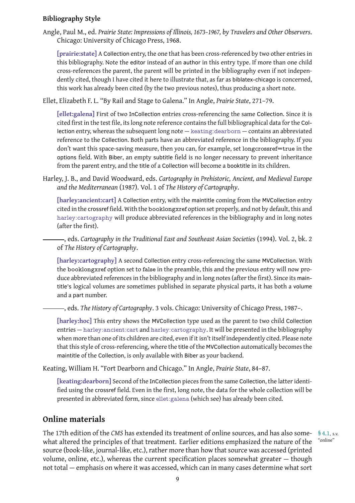## **Bibliography Style**

<span id="page-8-3"></span>Angle, Paul M., ed. *Prairie State: Impressions of Illinois, 1673–1967, by Travelers and Other Observers*. Chicago: University of Chicago Press, 1968.

**[\[prairie:state\]](#page-16-4)** A Collection entry, the one that has been cross-referenced by two other entries in this bibliography. Note the editor instead of an author in this entry type. If more than one child cross-references the parent, the parent will be printed in the bibliography even if not independently cited, though I have cited it here to illustrate that, as far as biblatex-chicago is concerned, this work has already been cited (by the two previous notes), thus producing a short note.

<span id="page-8-1"></span>Ellet, Elizabeth F. L. "By Rail and Stage to Galena." In Angle, *[Prairie State](#page-8-3)*, 271–79.

**[\[ellet:galena\]](#page-13-6)** First of two InCollection entries cross-referencing the same Collection. Since it is cited first in the test file, its long note reference contains the full bibliographical data for the Collection entry, whereas the subsequent long note — [keating:dearborn](#page-15-8) — contains an abbreviated reference to the Collection. Both parts have an abbreviated reference in the bibliography. If you don't want this space-saving measure, then you can, for example, set longcrossref=true in the options field. With Biber, an empty subtitle field is no longer necessary to prevent inheritance from the parent entry, and the title of a Collection will become a booktitle in its children.

<span id="page-8-4"></span>Harley, J. B., and David Woodward, eds. *Cartography in Prehistoric, Ancient, and Medieval Europe and the Mediterranean* (1987). Vol. 1 of *[The History of Cartography](#page-8-6)*.

**[\[harley:ancient:cart\]](#page-14-6)** A Collection entry, with the maintitle coming from the MVCollection entry cited in the crossref field. With the booklongxref option set properly, and not by default, this and [harley:cartography](#page-14-7) will produce abbreviated references in the bibliography and in long notes (after the first).

<span id="page-8-5"></span>, eds. *Cartography in the Traditional East and Southeast Asian Societies* (1994). Vol. 2, bk. 2 of *[The History of Cartography](#page-8-6)*.

**[\[harley:cartography\]](#page-14-7)** A second Collection entry cross-referencing the same MVCollection. With the booklongxref option set to false in the preamble, this and the previous entry will now produce abbreviated references in the bibliography and in long notes (after the first). Since its maintitle's logical volumes are sometimes published in separate physical parts, it has both a volume and a part number.

<span id="page-8-6"></span>, eds. *The History of Cartography*. 3 vols. Chicago: University of Chicago Press, 1987–.

**[\[harley:hoc\]](#page-15-9)** This entry shows the MVCollection type used as the parent to two child Collection entries — [harley:ancient:cart](#page-14-6) and [harley:cartography](#page-14-7). It will be presented in the bibliography when more than one of its children are cited, even if it isn't itself independently cited. Please note that this style of cross-referencing, where the title of the MVCollection automatically becomes the maintitle of the Collection, is only available with Biber as your backend.

<span id="page-8-2"></span>Keating, William H. "Fort Dearborn and Chicago." In Angle, *[Prairie State](#page-8-3)*, 84–87.

**[\[keating:dearborn\]](#page-15-8)** Second of the InCollection pieces from the same Collection, the latter identified using the crossref field. Even in the first, long note, the data for the whole collection will be presented in abbreviated form, since [ellet:galena](#page-13-6) (which see) has already been cited.

## <span id="page-8-0"></span>**Online materials**

The 17th edition of the *CMS* has extended its treatment of online sources, and has also some- [§ 4.1](#page-1-9), s.v.<br>what altered the principles of that treatment. Earlier editions emphasized the nature of the "<sup>online"</sup> what altered the principles of that treatment. Earlier editions emphasized the nature of the source (book-like, journal-like, etc.), rather more than how that source was accessed (printed volume, online, etc.), whereas the current specification places somewhat greater — though not total — emphasis on where it was accessed, which can in many cases determine what sort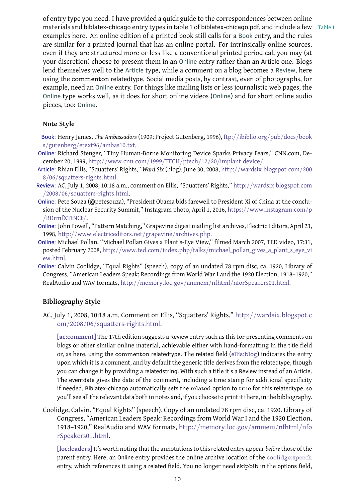<span id="page-9-7"></span><span id="page-9-6"></span><span id="page-9-5"></span><span id="page-9-4"></span>of entry type you need. I have provided a quick guide to the correspondences between online materials and biblatex-chicago entry types in table 1 of biblatex-chicago.pdf, and include a few Table 1 examples here. An online edition of a printed book still calls for a [Book](#page-9-0) entry, and the rules are similar for a printed journal that has an online portal. For intrinsically online sources, even if they are structured more or less like a conventional printed periodical, you may (at your discretion) choose to present them in an [Online](#page-9-1) entry rather than an Article one. Blogs lend themselves well to the [Article](#page-9-2) type, while a comment on a blog becomes a [Review](#page-9-3), here using the commenton relatedtype. Social media posts, by contrast, even of photographs, for example, need an [Online](#page-9-1) entry. For things like mailing lists or less journalistic web pages, the [Online](#page-9-1) type works well, as it does for short online videos ([Online](#page-9-1)) and for short online audio pieces, too: [Online](#page-9-1).

#### **Note Style**

- <span id="page-9-0"></span>[Book:](#page-9-4) Henry James, *The Ambassadors* [\(1909; Project Gutenberg, 1996\),](#page-10-0) ftp://[ibiblio](ftp://ibiblio.org/pub/docs/books/gutenberg/etext96/ambas10.txt).org/pub/docs/book s/[gutenberg](#page-10-0)/etext96/ambas10.txt.
- <span id="page-9-1"></span>[Online:](#page-9-5) [Richard Stenger, "Tiny Human-Borne Monitoring Device Sparks Privacy Fears," CNN.com, De](#page-10-1)[cember 20, 1999,](#page-10-1) http://www.cnn.com/1999/TECH/ptech/12/20/[implant](http://www.cnn.com/1999/TECH/ptech/12/20/implant.device/).device/.
- <span id="page-9-2"></span>[Article:](#page-9-6) [Rhian Ellis, "Squatters' Rights,"](#page-10-2) *Ward Six* (blog), June 30, 2008, http://wardsix.[blogspot](http://wardsix.blogspot.com/2008/06/squatters-rights.html).com/200 8/06/[squatters-rights](#page-10-2).html.
- <span id="page-9-3"></span>[Review:](#page-9-7) [AC, July 1, 2008, 10:18 a.m., comment on Ellis, "Squatters' Rights,"](#page-9-8) http://wardsix.[blogspot](http://wardsix.blogspot.com/2008/06/squatters-rights.html).com /2008/06/[squatters-rights](#page-9-8).html.
- [Online:](#page-9-5) [Pete Souza \(@petesouza\), "President Obama bids farewell to President Xi of China at the conclu](#page-10-3)[sion of the Nuclear Security Summit," Instagram photo, April 1, 2016,](#page-10-3) https://www.[instagram](https://www.instagram.com/p/BDrmfXTtNCt/).com/p /[BDrmfXTtNCt](#page-10-3)/.
- [Online:](#page-9-5) [John Powell, "Pattern Matching," Grapevine digest mailing list archives, Electric Editors, April 23,](#page-10-4) 1998, http://www.[electriceditors](#page-10-4).net/grapevine/archives.php.
- [Online:](#page-9-5) [Michael Pollan, "Michael Pollan Gives a Plant's-Eye View," filmed March 2007, TED video, 17:31,](#page-10-5) posted February 2008, http://www.ted.com/index.php/talks/[michael\\_pollan\\_gives\\_a\\_plant\\_s\\_eye\\_vi](#page-10-5) ew.[html.](#page-10-5)
- [Online:](#page-9-5) [Calvin Coolidge, "Equal Rights" \(speech\), copy of an undated 78 rpm disc, ca. 1920, Library of](#page-9-9) [Congress, "American Leaders Speak: Recordings from World War I and the 1920 Election, 1918–1920,"](#page-9-9) [RealAudio and WAV formats,](#page-9-9) http://memory.loc.gov/ammem/nfhtml/[nforSpeakers01](http://memory.loc.gov/ammem/nfhtml/nforSpeakers01.html).html.

#### **Bibliography Style**

<span id="page-9-8"></span>AC. July 1, 2008, 10:18 a.m. Comment on Elli[s, "Squatters' Rights.](#page-10-2)" http://wardsix.[blogspot](http://wardsix.blogspot.com/2008/06/squatters-rights.html).c om/2008/06/[squatters-rights](http://wardsix.blogspot.com/2008/06/squatters-rights.html).html.

**[\[ac:comment\]](#page-13-7)** The 17th edition suggests a Review entry such as this for presenting comments on blogs or other similar online material, achievable either with hand-formatting in the title field or, as here, using the commenton relatedtype. The related field ([ellis:blog](#page-13-8)) indicates the entry upon which it is a comment, and by default the generic title derives from the relatedtype, though you can change it by providing a relatedstring. With such a title it's a Review instead of an Article. The eventdate gives the date of the comment, including a time stamp for additional specificity if needed. Biblatex-chicago automatically sets the related option to true for this relatedtype, so you'll see all the relevant data both in notes and, if you choose to print it there, in the bibliography.

<span id="page-9-9"></span>Coolidge, Calvin. "Equal Rights" (speech). Copy of an undated 78 rpm disc, ca. 1920. Library of Congress, "American Leaders Speak: Recordings from World War I and the 1920 Election, 1918–1920," RealAudio and WAV formats, http://[memory](http://memory.loc.gov/ammem/nfhtml/nforSpeakers01.html).loc.gov/ammem/nfhtml/nfo [rSpeakers01](http://memory.loc.gov/ammem/nfhtml/nforSpeakers01.html).html.

**[\[loc:leaders\]](#page-15-10)** It's worth noting that the annotations to this related entry appear *before*those of the parent entry. Here, an Online entry provides the online archive location of the [coolidge:speech](#page-13-9) entry, which references it using a related field. You no longer need skipbib in the options field,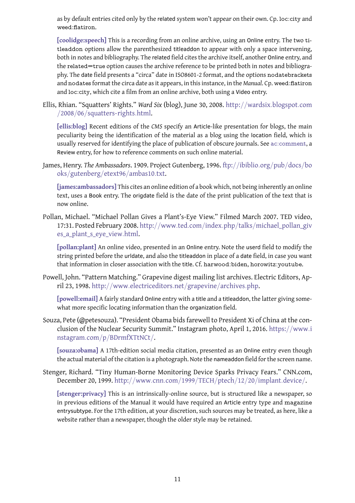as by default entries cited only by the related system won't appear on their own. Cp. loc:city and weed:flatiron.

**[\[coolidge:speech\]](#page-13-9)** This is a recording from an online archive, using an Online entry. The two titleaddon options allow the parenthesized titleaddon to appear with only a space intervening, both in notes and bibliography. The related field cites the archive itself, another Online entry, and the related=true option causes the archive reference to be printed both in notes and bibliography. The date field presents a "circa" date in ISO8601-2 format, and the options nodatebrackets and nodates format the circa date as it appears, in this instance, in the *Manual*. Cp. weed:flatiron and loc:city, which cite a film from an online archive, both using a Video entry.

<span id="page-10-2"></span>Ellis, Rhian. "Squatters' Rights." *Ward Six* (blog), June 30, 2008. http://wardsix.[blogspot](http://wardsix.blogspot.com/2008/06/squatters-rights.html).com /2008/06/[squatters-rights](http://wardsix.blogspot.com/2008/06/squatters-rights.html).html.

**[\[ellis:blog\]](#page-13-8)** Recent editions of the *CMS* specify an Article-like presentation for blogs, the main peculiarity being the identification of the material as a blog using the location field, which is usually reserved for identifying the place of publication of obscure journals. See [ac:comment](#page-13-7), a Review entry, for how to reference comments on such online material.

<span id="page-10-0"></span>James, Henry. *The Ambassadors*. 1909. Project Gutenberg, 1996. ftp://[ibiblio](ftp://ibiblio.org/pub/docs/books/gutenberg/etext96/ambas10.txt).org/pub/docs/bo oks/[gutenberg](ftp://ibiblio.org/pub/docs/books/gutenberg/etext96/ambas10.txt)/etext96/ambas10.txt.

**[\[james:ambassadors\]](#page-15-11)** This cites an online edition of a book which, not being inherently an online text, uses a Book entry. The origdate field is the date of the print publication of the text that is now online.

<span id="page-10-5"></span>Pollan, Michael. "Michael Pollan Gives a Plant's-Eye View." Filmed March 2007. TED video, 17:31. Posted February 2008. http://www.ted.com/index.php/talks/[michael\\_pollan\\_giv](http://www.ted.com/index.php/talks/michael_pollan_gives_a_plant_s_eye_view.html) [es\\_a\\_plant\\_s\\_eye\\_view](http://www.ted.com/index.php/talks/michael_pollan_gives_a_plant_s_eye_view.html).html.

**[\[pollan:plant\]](#page-16-5)** An online video, presented in an Online entry. Note the userd field to modify the string printed before the urldate, and also the titleaddon in place of a date field, in case you want that information in closer association with the title. Cf. harwood:biden, horowitz:youtube.

<span id="page-10-4"></span>Powell, John. "Pattern Matching." Grapevine digest mailing list archives. Electric Editors, April 23, 1998. http://www.[electriceditors](http://www.electriceditors.net/grapevine/archives.php).net/grapevine/archives.php.

**[\[powell:email\]](#page-16-6)** A fairly standard Online entry with a title and a titleaddon, the latter giving somewhat more specific locating information than the organization field.

<span id="page-10-3"></span>Souza, Pete (@petesouza). "President Obama bids farewell to President Xi of China at the conclusion of the Nuclear Security Summit." Instagram photo, April 1, 2016. [https:](https://www.instagram.com/p/BDrmfXTtNCt/)//www.i nstagram.com/p/[BDrmfXTtNCt](https://www.instagram.com/p/BDrmfXTtNCt/)/.

**[\[souza:obama\]](#page-17-2)** A 17th-edition social media citation, presented as an Online entry even though the actual material of the citation is a photograph. Note the nameaddon field for the screen name.

<span id="page-10-1"></span>Stenger, Richard. "Tiny Human-Borne Monitoring Device Sparks Privacy Fears." CNN.com, December 20, 1999. http://www.cnn.com/1999/TECH/ptech/12/20/[implant](http://www.cnn.com/1999/TECH/ptech/12/20/implant.device/).device/.

**[\[stenger:privacy\]](#page-17-3)** This is an intrinsically-online source, but is structured like a newspaper, so in previous editions of the Manual it would have required an Article entry type and magazine entrysubtype. For the 17th edition, at your discretion, such sources may be treated, as here, like a website rather than a newspaper, though the older style may be retained.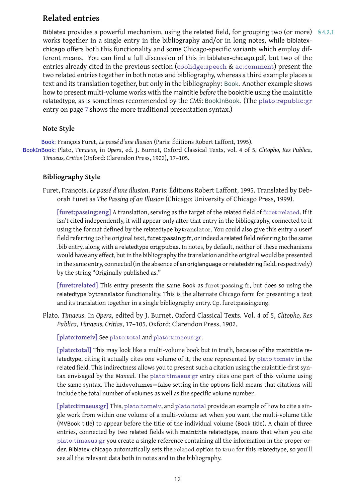## <span id="page-11-0"></span>**Related entries**

Biblatex provides a powerful mechanism, using the related field, for grouping two (or more) § 4.2.1 works together in a single entry in the bibliography and/or in long notes, while biblatexchicago offers both this functionality and some Chicago-specific variants which employ different means. You can find a full discussion of this in biblatex-chicago.pdf, but two of the entries already cited in the previous section ([coolidge:speech](#page-13-9) & [ac:comment](#page-13-7)) present the two related entries together in both notes and bibliography, whereas a third example places a text and its translation together, but only in the bibliography: [Book](#page-11-1). Another example shows how to present multi-volume works with the maintitle *before*the booktitle using the maintitle relatedtype, as is sometimes recommended by the *CMS*: [BookInBook](#page-11-2). (The [plato:republic:gr](#page-16-3) entry on page [7](#page-6-0) shows the more traditional presentation syntax.)

## <span id="page-11-5"></span><span id="page-11-3"></span><span id="page-11-1"></span>**Note Style**

<span id="page-11-2"></span>[Book:](#page-11-3) François Furet, *Le passé d'une illusion* [\(Paris: Éditions Robert Laffont, 1995\).](#page-11-4) [BookInBook:](#page-11-5) Plato, *Timaeus*, in *Opera*[, ed. J. Burnet, Oxford Classical Texts, vol. 4 of 5,](#page-11-6) *Clitopho, Res Publica, Timaeus, Critias* [\(Oxford: Clarendon Press, 1902\), 17–105.](#page-11-6)

## **Bibliography Style**

<span id="page-11-4"></span>Furet, François. *Le passé d'une illusion*. Paris: Éditions Robert Laffont, 1995. Translated by Deborah Furet as *The Passing of an Illusion* (Chicago: University of Chicago Press, 1999).

**[\[furet:passing:eng\]](#page-14-8)** A translation, serving as the target of the related field of [furet:related](#page-14-9). If it isn't cited independently, it will appear only after that entry in the bibliography, connected to it using the format defined by the relatedtype bytranslator. You could also give this entry a userf field referring to the original text, furet:passing:fr, or indeed a related field referring to the same .bib entry, along with a relatedtype origpubas. In notes, by default, neither of these mechanisms would have any effect, but in the bibliography the translation and the original would be presented in the same entry, connected (in the absence of an origlanguage or relatedstring field, respectively) by the string "Originally published as."

**[\[furet:related\]](#page-14-9)** This entry presents the same Book as furet:passing:fr, but does so using the relatedtype bytranslator functionality. This is the alternate Chicago form for presenting a text and its translation together in a single bibliography entry. Cp. furet:passing:eng.

<span id="page-11-6"></span>Plato. *Timaeus*. In *Opera*, edited by J. Burnet, Oxford Classical Texts. Vol. 4 of 5, *Clitopho, Res Publica, Timaeus, Critias*, 17–105. Oxford: Clarendon Press, 1902.

**[\[plato:tomeiv\]](#page-16-7)** See [plato:total](#page-16-8) and [plato:timaeus:gr](#page-16-9).

**[\[plato:total\]](#page-16-8)** This may look like a multi-volume book but in truth, because of the maintitle relatedtype, citing it actually cites one volume of it, the one represented by [plato:tomeiv](#page-16-7) in the related field. This indirectness allows you to present such a citation using the maintitle-first syntax envisaged by the *Manual*. The [plato:timaeus:gr](#page-16-9) entry cites one part of this volume using the same syntax. The hidevolumes=false setting in the options field means that citations will include the total number of volumes as well as the specific volume number.

**[\[plato:timaeus:gr\]](#page-16-9)** This, [plato:tomeiv](#page-16-7), and [plato:total](#page-16-8) provide an example of how to cite a single work from within one volume of a multi-volume set when you want the multi-volume title (MVBook title) to appear before the title of the individual volume (Book title). A chain of three entries, connected by two related fields with maintitle relatedtype, means that when you cite [plato:timaeus:gr](#page-16-9) you create a single reference containing all the information in the proper order. Biblatex-chicago automatically sets the related option to true for this relatedtype, so you'll see all the relevant data both in notes and in the bibliography.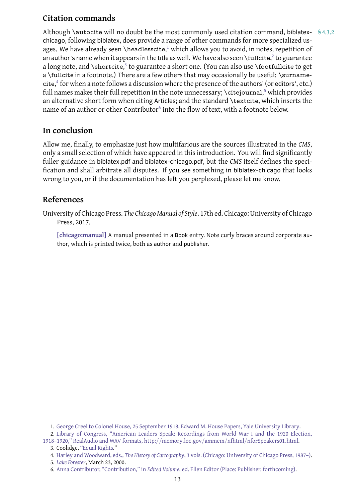## <span id="page-12-0"></span>**Citation commands**

Although \autocite will no doubt be the most commonly used citation command, biblatex- §4.3.2 chicago, following biblatex, does provide a range of other commands for more specialized usages. We have already seen **\headlesscite,** $^1$  $^1$  **which allows you to** avoid, in notes, repetition of an author's name when it appears in the title as well. We have also seen \fullcite, $^2$  $^2$  to guarantee a long note, and **\shortcite,** $^3$  $^3$  **to guarantee a short** one. (You can also use **\footfullcite** to get a \fullcite in a footnote.) There are a few others that may occasionally be useful: \surnamecite, $\rm ^4$  $\rm ^4$  for when a note follows a discussion where the presence of the authors' (or editors', etc.) full names makes their full repetition in the note unnecessary; **\citejournal,** $^5$  $^5$  **which provides** an alternative short form when citing Articles; and the standard \textcite, which inserts the name of an author or other Contributor $^{\rm 6}$  $^{\rm 6}$  $^{\rm 6}$  into the flow of text, with a footnote below.

## <span id="page-12-1"></span>**In conclusion**

Allow me, finally, to emphasize just how multifarious are the sources illustrated in the *CMS*, only a small selection of which have appeared in this introduction. You will find significantly fuller guidance in biblatex.pdf and biblatex-chicago.pdf, but the *CMS* itself defines the specification and shall arbitrate all disputes. If you see something in biblatex-chicago that looks wrong to you, or if the documentation has left you perplexed, please let me know.

## **References**

<span id="page-12-2"></span>University of Chicago Press. *The Chicago Manual of Style*. 17th ed. Chicago: University of Chicago Press, 2017.

**[\[chicago:manual\]](#page-13-10)** A manual presented in a Book entry. Note curly braces around corporate author, which is printed twice, both as author and publisher.

<span id="page-12-4"></span><span id="page-12-3"></span>1. [George Creel to Colonel House, 25 September 1918, Edward M. House Papers, Yale University Library.](#page-13-5)

2. [Library of Congress, "American Leaders Speak: Recordings from World War I and the 1920 Election,](#page-15-10)

[1918–1920," RealAudio and WAV formats,](#page-15-10) http://memory.loc.gov/ammem/nfhtml/[nforSpeakers01](http://memory.loc.gov/ammem/nfhtml/nforSpeakers01.html).html. 3. Coolidge, ["Equal Rights.](#page-13-9)"

<span id="page-12-7"></span><span id="page-12-6"></span><span id="page-12-5"></span>4. Harley and Woodward, eds., *The History of Cartography*[, 3 vols. \(Chicago: University of Chicago Press, 1987–\).](#page-15-9) 5. *[Lake Forester](#page-15-7)*, March 23, 2000.

<span id="page-12-8"></span>6. Anna Contributor, "Contribution," in *Edited Volume*[, ed. Ellen Editor \(Place: Publisher, forthcoming\).](#page-13-2)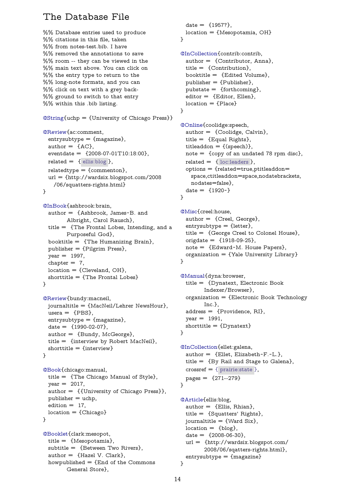## The Database File

```
%% Database entries used to produce
%% citations in this file, taken
%% from notes-test.bib. I have
%% removed the annotations to save
%% room -- they can be viewed in the
%% main text above. You can click on
%% the entry type to return to the
%% long-note formats, and you can
%% click on text with a grey back-
%% ground to switch to that entry
%% within this .bib listing.
```

```
@String{uchp = {University of Chicago Press}}
```

```
@Review{ac:comment,
 entrysubtype = {mag}azine},
 author = \{AC\},\eventdate = {2008-07-01T10:18:00},
 related = \{ellis:blog \},relatedtype = {commenton},url = \{http://wardsix.blogspot.com/2008/06/squatters-rights.html}
}
```

```
@InBook{ashbrook:brain,
 author = {Ashbrook, James~B. and
        Albright, Carol Rausch},
 title = {The Frontal Lobes, Intending, and a
        Purposeful God},
 booktitle = {The Humanizing Brain},
 publisher = {Pilgrim Press},
 year = 1997,chapter = 7,
 location = {Cleveland, OH},shorttitle = {The Frontal Lobes}
}
```

```
@Review{bundy:macneil,
 journaltitle = {MacNeil/Lehrer NewsHour},
 usera = {PBS},
 entrysubtype = {magazine},
 date = {1990-02-07},
 author = {Bundy, McGeorge},
 title = {interview by Robert MacNeil},
 shorttitle = {interview}
}
```

```
@Book{chicago:manual,
 title = {The Chicago Manual of Style},
 year = 2017,
 author = {{University of Chicago Press}},
 public = uchp,edition = 17,
 location = {Chicago}
}
```
<span id="page-13-1"></span>[@Booklet{](#page-0-4)clark:mesopot, title = {Mesopotamia}, subtitle  $=$  {Between Two Rivers}, author  $=$  {Hazel V. Clark}, howpublished  $=$  {End of the Commons General Store},

```
date = {1957?},location = {Mesopotamia, OH}
}
@InCollection{contrib:contrib,
```

```
author = {Contributor, Anna},
title = {Contribution},
booktitle = {Edited Volume},
public = {Publicible},
pubstate = {forthcoming},
editor = {Editor, Ellen},location = {Place}
```

```
}
```

```
@Online{coolidge:speech,
 author = {Coolidge, Calvin},title = {Equal Rights},
 titleaddon = \{(\text{speed})\},\note = {copy of an undated 78 rpm disc},
 related = \{ loc: leaders \},options = {related=true,ptitleaddon=
   space,ctitleaddon=space,nodatebrackets,
   nodates=false},
 date = {1920 - }
```

```
}
```

```
@Misc{creel:house,
 author = {Creel, George},
 entrysubtype = {letter},
 title = {George Creel to Colonel House},
 origdate = {1918-09-25},
 note = {Edward~M. House Papers},
  organization = {Yale University Library}
}
```

```
@Manual{dyna:browser,
 title = {Dynatext, Electronic Book
        Indexer/Browser},
  organization = {Electronic Book Technology
       Inc.},
  address = {Providence, RI},
 year = 1991,shorttitle = {Dynatext}
}
```

```
@InCollection{ellet:galena,
  author = {Ellet, Elizabeth-F.-L.},title = {By Rail and Stage to Galena},
 crossref = { prairie: state },
  pages = {271--279}}
```

```
@Article{ellis:blog,
 author = {Ellis, Rhian},
 title = {Squatters' Rights},
 journaltitle = {Ward Six},
 location = \{blog\},\date = \{2008-06-30\},url = \{http://wardsix.blogspot.com/2008/06/sqatters-rights.html},
 entrysubtype = {magazine}
```
}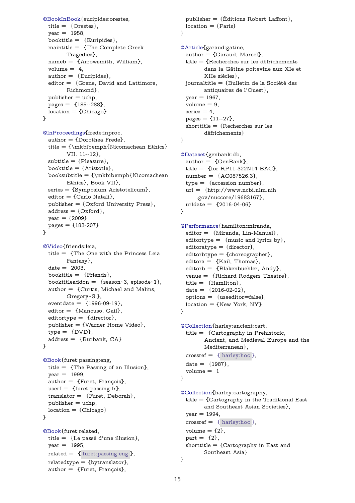```
@BookInBook{euripides:orestes,
 title = {Orestes},
 year = 1958,booktitle = {Euripides},
 maintitle = {The Complete Greek
       Tragedies},
 nameb = {Arrowsmith, William},
 volume = 4,
 author = {Euripides},
 editor = {Grene, David and Lattimore,
        Richmond},
 public = uchp,pages = \{185 - 288\},\location = {Chicago}}
@InProceedings{frede:inproc,
 author = {Dorothea Frede},
 title = {\mkbibemph{Nicomachean Ethics}
       VII. 11--12},
 subtitle = {Pleaseure},booktitle = {Aristotle},
 \texttt{block} = \{\mbox{Nicomachean}Ethics}, Book VII},
 series = {Symposium Aristotelicum},
 editor = {Carlo Natali},
 publisher = {Oxford University Press},
 address = \{Oxford\},year = {2009},
 pages = {183-207}}
@Video{friends:leia,
 title = {The One with the Princess Leia
        Fantasy},
 date = 2003,booktitle = {Friends},
 booktitleaddon = {season~3, episode~1},author = {Curtis, Michael and Malins,
        Gregory~S.},
 eventdate = \{1996 - 09 - 19\},\editor = {Mancuso, Gail},
 editortype = {director},
 publisher = {Warner Home Video},
 type = {DVD},address = {Burbank, CA}
}
@Book{furet:passing:eng,
 title = {The Passing of an Illusion},
 year = 1999,author = {Furet, François},
 userf = {furet:passing:fr},
 translator = {Furet, Deborah},
 public = uchp,location = {Chicago}}
@Book{furet:related,
 title = {Le passé d'une illusion},
```
<span id="page-14-9"></span><span id="page-14-8"></span> $year = 1995,$ 

related =  $\{$  furet: passing: eng  $\},$  $relatedtype = {bytranslator},$ author = {Furet, François},

```
publisher = {Éditions Robert Laffont},
 location = {Paris}}
```

```
@Article{garaud:gatine,
  author = {Garaud, Marcel},title = {Recherches sur les défrichements
        dans la Gâtine poitevine aux XIe et
        XIIe siècles},
 journaltitle = {Bulletin de la Société des
        antiquaires de l'Ouest},
  year = 1967,volume = 9,
  series = 4,
  pages = {11--27},shorttitle = {Recherches sur les
        défrichements}
}
@Dataset{genbank:db,
```
<span id="page-14-4"></span>author = {GenBank}, title =  ${for RP11-322N14 BAC},$  $number = {AC087526.3},$  $type = \{accession number\},\$ url = {http://www.ncbi.nlm.nih .gov/nuccore/19683167}, urldate = {2016-04-06}

```
}
```

```
@Performance{hamilton:miranda,
 editor = {Miranda, Lin-Manuel},
 editortype = {music and lyrics by},
 editoratype = {director},
  editorbtype = {choreographer},
 editora = {Kail, Thomas},
 editorb = {Blakenbuehler, Andy},
 venue = {Richard Rodgers Theatre},
 title = {Hamilton},
 date = \{2016 - 02 - 02\},\options = {useeditor=false},
 location = {New York, NY}
```
## }

```
@Collection{harley:ancient:cart,
 title = {Cartography in Prehistoric,
        Ancient, and Medieval Europe and the
        Mediterranean},
 crossref = harley:hoc } \},\date = {1987},
```

```
volume = 1
```
#### }

```
@Collection{harley:cartography,
 title = {Cartography in the Traditional East
        and Southeast Asian Societies},
 year = 1994,harley:hoc } \},\volume = \{2\},\part = {2},shorttitle = {Cartography in East and
        Southeast Asia}
}
```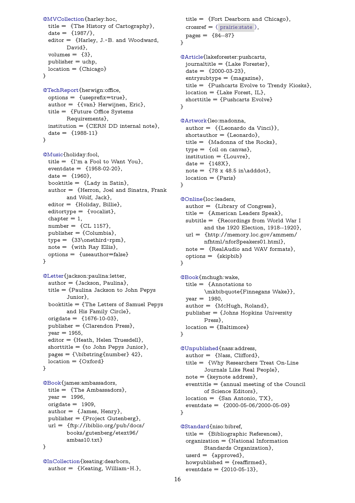```
@MVCollection{harley:hoc,
 title = {The History of Cartography},
 date = \{1987/\},editor = {Harley, J.~B. and Woodward,
       David},
 volumes = \{3\},\public = uchp,location = {Chicago}}
@TechReport{herwign:office,
 options = {useprefix=true},
 author = {{\{van\} Herwijnen, Eric},
 title = {Future Office Systems
        Requirements},
 institution = {CERN DD internal note},
 date = {1988-11}}
@Music{holiday:fool,
 title = {I'm a Fool to Want You},
 eventdate = {1958-02-20},
 date = {1960},booktitle = {Lady in Satin},
 author = {Herron, Joel and Sinatra, Frank
        and Wolf, Jack},
 editor = {Holiday, Billie},
 editortype = {vocalist},
 chapter = 1,
 number = \{CL 1157\},\public = {Columnbia},type = {33\onethird~rpm},
 note = {with Ray Ellis},options = {useauthor=false}
}
@Letter{jackson:paulina:letter,
 author = {Jackson, Paulina},
 title = {Paulina Jackson to John Pepys
        Junior},
 booktitle = {The Letters of Samuel Pepys
        and His Family Circle},
 origdate = {1676-10-03},
 publisher = {Clarendon Press},
 year = 1955,editor = {Heath, Helen Truesdell},
 shorttitle = {to John Pepys Junior},
 pages = {\bibstring{number} 42},location = \{Oxford\}}
@Book{james:ambassadors,
 title = {The Ambassadors},
 year = 1996,origdate = 1909,author = {James, Henry},
 publisher = {Project Gutenberg},
 url = \{ftp://ibiblio.org/public/docs/books/gutenberg/etext96/
        ambas10.txt}
}
```

```
@InCollection{keating:dearborn,
 author = {Keating, William~H.},
```

```
title = {Fort Dearborn and Chicago},
  crossref = \{ prairie: state \},
  pages = \{84 - 87\}}
@Article{lakeforester:pushcarts,
  journaltitle = {Lake Forester},
  date = \{2000 - 03 - 23\},\entrysubtype = {magazine},
  title = {Pushcarts Evolve to Trendy Kiosks},
 location = \{ Lake Forest, IL\},\shorttitle = {Pushcarts Evolve}
}
```

```
@Artwork{leo:madonna,
 author = {{Leonardo da Vinci}},
 shortauthor = {Leonardo},
 title = {Madonna of the Rocks},
 type = {oil on canvas},
 institution = {Lower},date = {148X},note = \{78 \times 48.5 \text{ in}\n\addot \},
 location = {Paris}}
```
<span id="page-15-10"></span>[@Online{](#page-9-1)loc:leaders, author = {Library of Congress}, title = {American Leaders Speak}, subtitle = {Recordings from World War I and the 1920 Election, 1918--1920}, url = {http://memory.loc.gov/ammem/ nfhtml/nforSpeakers01.html}, note = {RealAudio and WAV formats}, options = {skipbib} }

```
@Book{mchugh:wake,
 title = {Annotations to
        \mkbibquote{Finnegans Wake}},
 year = 1980,author = {McHugh, Roland},
 publisher = {Johns Hopkins University
       Press},
 location = {Baltimore}
}
```

```
@Unpublished{nass:address,
 author = {Nass, Clifford},
 title = {Why Researchers Treat On-Line
        Journals Like Real People},
 note ={keynote address},
 eventtitle = {annual meeting of the Council
        of Science Editors},
 location = {San Antonio, TX},eventdate = {2000-05-06/2000-05-09}
}
```
<span id="page-15-6"></span>[@Standard{](#page-2-11)niso:bibref, title = {Bibliographic References}, organization = {National Information Standards Organization}, userd  $=$  {approved}, howpublished  $=$  {reaffirmed},  $eventdate = \{2010-05-13\},$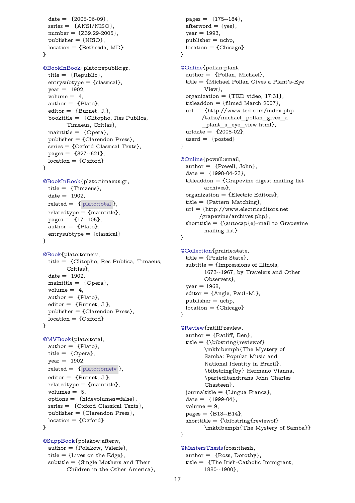```
date = {2005-06-09},
 series = {ANSI/NISO},
 number = \{Z39.29 - 2005\},\public = \{NISO\},\location = {Bethesda, MD}}
@BookInBook{plato:republic:gr,
 title = {Republic},
 entrysubtype = {classical},
 year = 1902,volume = 4,
 author = {Plato},editor = {Burnet, J.},
 booktitle = {Clitopho, Res Publica,
        Timaeus, Critias},
 maintitle = {Opera},
 publisher = {Clarendon Press},
 series = {Oxford Classical Texts},
 pages = \{327 - 621\},location = \{Oxford\}}
@BookInBook{plato:timaeus:gr,
 title = {Timaeus},
 date = 1902,related = \{ plate:total\},relatedtype = {main title},pages = \{17 - 105\},author = {Plato},
 entrysubtype = {classical}
}
@Book{plato:tomeiv,
 title = {Clitopho, Res Publica, Timaeus,
       Critias},
 date = 1902,maintitle = {Opera},
 volume = 4,
 author = {Plato},
 editor = {Burnet, J.},
 publisher = {Clarendon Press},
 location = \{Oxford\}}
@MVBook{plato:total,
 author = {Plato},title = {Opera},
 year = 1902,related = \{plato:tomeiv \},editor = {Burnet, J.},
 relatedtype = {maintitle},volumes = 5,
 options = {hidevolumes=false},
 series = {Oxford Classical Texts},
 publisher = {Clarendon Press},
 location = \{Oxford\}}
@SuppBook{polakow:afterw,
 author = {Polakow, Valerie},
 title = {Lives on the Edge},
 subtitle = {Single Mothers and Their
```
<span id="page-16-8"></span><span id="page-16-1"></span>Children in the Other America},

<span id="page-16-5"></span> $pages = \{175 - 184\},$  $afterword = {yes},$  $year = 1993,$  $public = uchp,$  $location = {Chicago}$ } [@Online{](#page-9-1)pollan:plant, author = {Pollan, Michael}, title = {Michael Pollan Gives a Plant's-Eye View}, organization = {TED video, 17:31}, titleaddon  $=$  {filmed March 2007}, url = {http://www.ted.com/index.php /talks/michael\_pollan\_gives\_a \_plant\_s\_eye\_view.html}, urldate  $= \{2008 - 02\},\$  $userd = \{posted\}$ } [@Online{](#page-9-1)powell:email, author = {Powell, John}, date =  ${1998-04-23}$ , titleaddon = {Grapevine digest mailing list archives}, organization = {Electric Editors}, title = {Pattern Matching}, url = {http://www.electriceditors.net /grapevine/archives.php}, shorttitle =  ${\aurocap{e} - mail to Grapevine}$ 

```
}
```

```
@Collection{prairie:state,
 title = {Prairie State},
 subtitle = {Impressions of Illinois,
        1673--1967, by Travelers and Other
        Observers},
 year = 1968,editor = \{Angle, Paul~M.\},publisher = uchp,
 location = {Chicago}
}
```
<span id="page-16-6"></span>mailing list}

```
@Review{ratliff:review,
 author = {Ratliff, Ben},
 title = {\bibstring{reviewof}
        \mkbibemph{The Mystery of
        Samba: Popular Music and
        National Identity in Brazil},
        \bibstring{by} Hermano Vianna,
        \parteditandtrans John Charles
        Chasteen},
 journaltitle = {Lingua Franca},
 date = \{1999-04\},\,volume = 9,
 pages = {B13 - B14},
 shorttitle = {\bibstringfreviewof}\mkbibemph{The Mystery of Samba}}
}
```
<span id="page-16-0"></span>[@MastersThesis{](#page-0-9)ross:thesis,  $author = {Ross, Dorothy},$ title = {The Irish-Catholic Immigrant, 1880--1900},